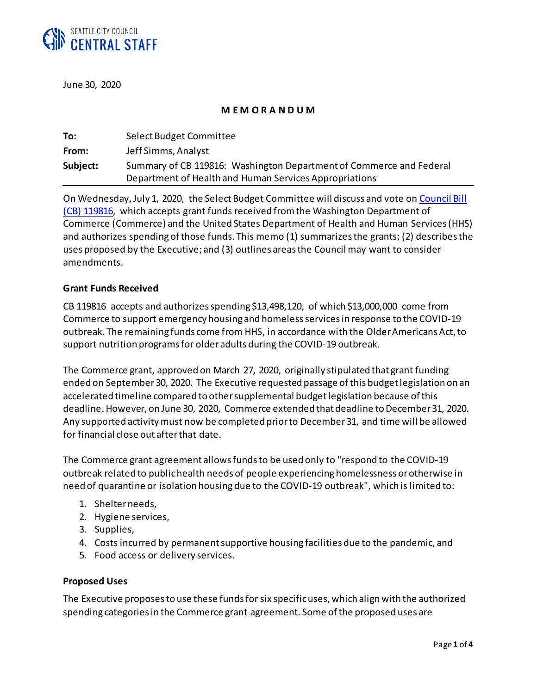

June 30, 2020

#### **M E M O R A N D U M**

| To:      | Select Budget Committee                                             |
|----------|---------------------------------------------------------------------|
| From:    | Jeff Simms, Analyst                                                 |
| Subject: | Summary of CB 119816: Washington Department of Commerce and Federal |
|          | Department of Health and Human Services Appropriations              |

On Wednesday, July 1, 2020, the Select Budget Committee will discuss and vote on [Council Bill](https://seattle.legistar.com/LegislationDetail.aspx?ID=4580373&GUID=59755D85-0889-4446-8471-982295A8B30B&Options=ID|Text|&Search=119816)  (CB) [119816,](https://seattle.legistar.com/LegislationDetail.aspx?ID=4580373&GUID=59755D85-0889-4446-8471-982295A8B30B&Options=ID|Text|&Search=119816) which accepts grant funds received from the Washington Department of Commerce (Commerce) and the United States Department of Health and Human Services(HHS) and authorizes spending of those funds. This memo (1) summarizes the grants; (2) describes the uses proposed by the Executive; and (3) outlines areasthe Council may want to consider amendments.

#### **Grant Funds Received**

CB 119816 accepts and authorizes spending \$13,498,120, of which \$13,000,000 come from Commerce to support emergency housing and homeless services in response to the COVID-19 outbreak. The remaining funds come from HHS, in accordance with the Older Americans Act, to support nutrition programs for older adults during the COVID-19 outbreak.

The Commerce grant, approved on March 27, 2020, originally stipulated that grant funding ended on September30, 2020. The Executive requested passage of this budget legislation on an accelerated timeline compared to other supplemental budget legislation because of this deadline. However, on June 30, 2020, Commerce extended that deadline to December 31, 2020. Any supported activity must now be completed prior to December 31, and time will be allowed for financial close out after that date.

The Commerce grant agreement allows funds to be used only to "respond to the COVID-19 outbreak related to public health needs of people experiencing homelessness or otherwise in need of quarantine or isolation housing due to the COVID-19 outbreak", which is limited to:

- 1. Shelter needs,
- 2. Hygiene services,
- 3. Supplies,
- 4. Costs incurred by permanent supportive housing facilities due to the pandemic, and
- 5. Food access or delivery services.

#### **Proposed Uses**

The Executive proposes to use these fundsfor six specific uses, which align with the authorized spending categories in the Commerce grant agreement. Some of the proposed uses are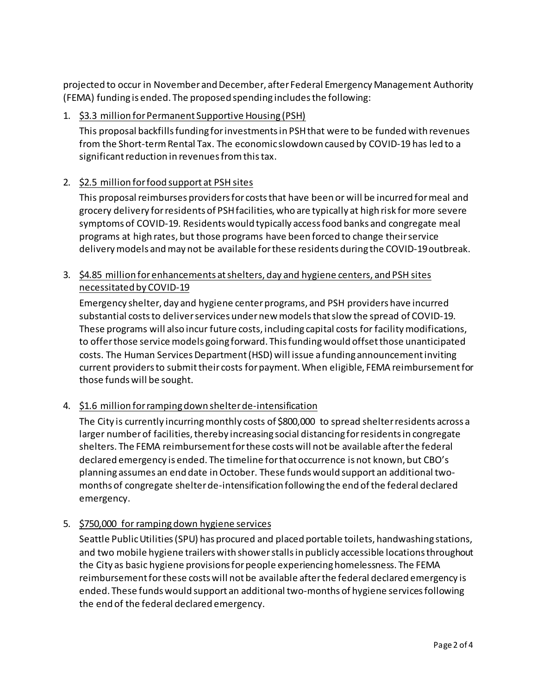projected to occur in November and December, after Federal Emergency Management Authority (FEMA) funding is ended. The proposed spending includes the following:

# 1. \$3.3 million for Permanent Supportive Housing (PSH)

This proposal backfills funding for investments in PSH that were to be funded with revenues from the Short-term Rental Tax. The economic slowdown caused by COVID-19 has led to a significant reduction in revenues from this tax.

# 2. \$2.5 million for food support at PSH sites

This proposal reimburses providers for costs that have been or will be incurred formeal and grocery delivery for residents of PSH facilities, who are typically at high risk for more severe symptoms of COVID-19. Residents would typically access food banks and congregate meal programs at high rates, but those programs have been forced to change their service delivery models and may not be available for these residents during the COVID-19 outbreak.

# 3. \$4.85 million for enhancements at shelters, day and hygiene centers, and PSH sites necessitated by COVID-19

Emergency shelter, day and hygiene center programs, and PSH providers have incurred substantial costs to deliver services under new modelsthat slow the spread of COVID-19. These programs will also incur future costs, including capital costs for facility modifications, to offer those service models going forward. This funding would offset those unanticipated costs. The Human Services Department (HSD) will issue a funding announcement inviting current providers to submit their costs for payment. When eligible, FEMA reimbursement for those funds will be sought.

## 4. \$1.6 million for ramping down shelter de-intensification

The City is currently incurring monthly costs of \$800,000 to spread shelter residents across a larger number of facilities, thereby increasing social distancing for residents in congregate shelters. The FEMA reimbursement for these costs will not be available after the federal declared emergency is ended. The timeline for that occurrence is not known, but CBO's planning assumes an end date in October. These funds would support an additional twomonths of congregate shelter de-intensification following the end of the federal declared emergency.

## 5. \$750,000 for ramping down hygiene services

Seattle Public Utilities (SPU) has procured and placed portable toilets, handwashing stations, and two mobile hygiene trailers with shower stalls in publicly accessible locations throughout the City as basic hygiene provisions for people experiencing homelessness. The FEMA reimbursementfor these costs will not be available after the federal declared emergency is ended. These funds would support an additional two-months of hygiene servicesfollowing the end of the federal declared emergency.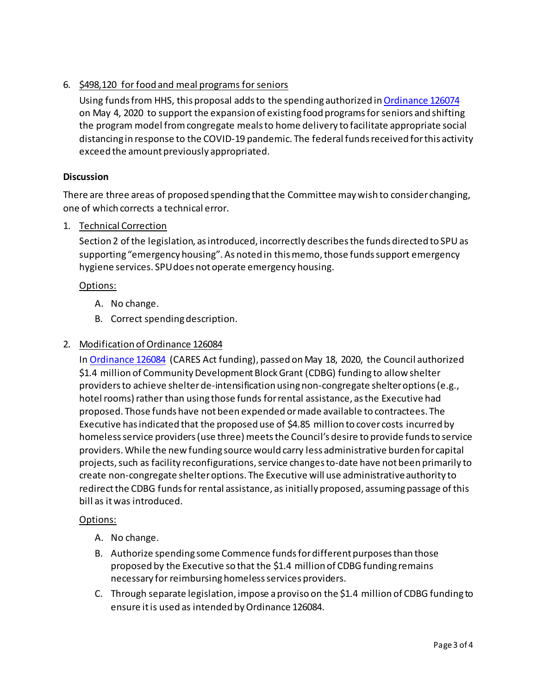# 6. \$498,120 for food and meal programs for seniors

Using funds from HHS, this proposal adds to the spending authorized i[n Ordinance](https://seattle.legistar.com/LegislationDetail.aspx?ID=4427722&GUID=01BFE8EF-C07A-455D-B4F3-03979B0558CF&Options=ID|Text|&Search=126074) 126074 on May 4, 2020 to support the expansion of existing food programs for seniors and shifting the program model from congregate meals to home delivery to facilitate appropriate social distancing in response to the COVID-19 pandemic. The federal funds received for this activity exceed the amount previously appropriated.

### **Discussion**

There are three areas of proposed spending that the Committee may wish to consider changing, one of which corrects a technical error.

1. Technical Correction

Section 2 of the legislation, as introduced, incorrectly describes the funds directed to SPU as supporting "emergency housing". As noted in this memo, those funds support emergency hygiene services. SPU does not operate emergency housing.

### Options:

- A. No change.
- B. Correct spending description.

### 2. Modification of Ordinance 126084

In [Ordinance 126084](http://clerk.seattle.gov/search/ordinances/126084) (CARES Act funding), passed on May 18, 2020, the Council authorized \$1.4 million of Community Development Block Grant (CDBG) funding to allow shelter providers to achieve shelter de-intensification using non-congregate shelter options (e.g., hotel rooms) rather than using those funds for rental assistance, as the Executive had proposed. Those funds have not been expended or made available to contractees. The Executive has indicated that the proposed use of \$4.85 million to cover costs incurred by homeless service providers (use three) meets the Council's desire to provide funds to service providers. While the new funding source would carry less administrative burden for capital projects, such as facility reconfigurations, service changes to-date have not been primarily to create non-congregate shelter options. The Executive will use administrative authority to redirect the CDBG funds for rental assistance, as initially proposed, assuming passage of this bill as it was introduced.

#### Options:

- A. No change.
- B. Authorize spending some Commence funds for different purposes than those proposed by the Executive so that the \$1.4 million of CDBG funding remains necessary for reimbursing homeless services providers.
- C. Through separate legislation, impose a proviso on the \$1.4 million of CDBG funding to ensure it is used as intended by Ordinance 126084.